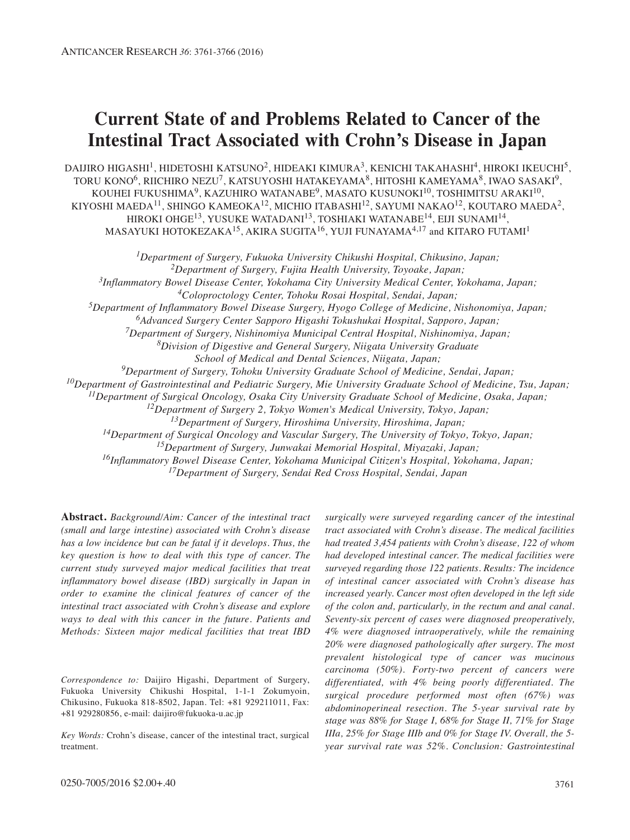# **Current State of and Problems Related to Cancer of the Intestinal Tract Associated with Crohn's Disease in Japan**

DAIJIRO HIGASHI<sup>1</sup>, HIDETOSHI KATSUNO<sup>2</sup>, HIDEAKI KIMURA<sup>3</sup>, KENICHI TAKAHASHI<sup>4</sup>, HIROKI IKEUCHI<sup>5</sup>, TORU KONO<sup>6</sup>, RIICHIRO NEZU<sup>7</sup>, KATSUYOSHI HATAKEYAMA<sup>8</sup>, HITOSHI KAMEYAMA<sup>8</sup>, IWAO SASAKI<sup>9</sup>, KOUHEI FUKUSHIMA<sup>9</sup>, KAZUHIRO WATANABE<sup>9</sup>, MASATO KUSUNOKI<sup>10</sup>, TOSHIMITSU ARAKI<sup>10</sup>, KIYOSHI MAEDA<sup>11</sup>, SHINGO KAMEOKA<sup>12</sup>, MICHIO ITABASHI<sup>12</sup>, SAYUMI NAKAO<sup>12</sup>, KOUTARO MAEDA<sup>2</sup>, HIROKI OHGE<sup>13</sup>, YUSUKE WATADANI<sup>13</sup>, TOSHIAKI WATANABE<sup>14</sup>, EIJI SUNAMI<sup>14</sup>, MASAYUKI HOTOKEZAKA<sup>15</sup>, AKIRA SUGITA<sup>16</sup>, YUJI FUNAYAMA<sup>4,17</sup> and KITARO FUTAMI<sup>1</sup>

*1Department of Surgery, Fukuoka University Chikushi Hospital, Chikusino, Japan; 2Department of Surgery, Fujita Health University, Toyoake, Japan; 3Inflammatory Bowel Disease Center, Yokohama City University Medical Center, Yokohama, Japan; 4Coloproctology Center, Tohoku Rosai Hospital, Sendai, Japan; 5Department of Inflammatory Bowel Disease Surgery, Hyogo College of Medicine, Nishonomiya, Japan; 6Advanced Surgery Center Sapporo Higashi Tokushukai Hospital, Sapporo, Japan; 7Department of Surgery, Nishinomiya Municipal Central Hospital, Nishinomiya, Japan; 8Division of Digestive and General Surgery, Niigata University Graduate School of Medical and Dental Sciences, Niigata, Japan; 9Department of Surgery, Tohoku University Graduate School of Medicine, Sendai, Japan; 10Department of Gastrointestinal and Pediatric Surgery, Mie University Graduate School of Medicine, Tsu, Japan; 11Department of Surgical Oncology, Osaka City University Graduate School of Medicine, Osaka, Japan; 12Department of Surgery 2, Tokyo Women's Medical University, Tokyo, Japan; 13Department of Surgery, Hiroshima University, Hiroshima, Japan; 14Department of Surgical Oncology and Vascular Surgery, The University of Tokyo, Tokyo, Japan;*

*15Department of Surgery, Junwakai Memorial Hospital, Miyazaki, Japan;*

*16Inflammatory Bowel Disease Center, Yokohama Municipal Citizen's Hospital, Yokohama, Japan;*

*17Department of Surgery, Sendai Red Cross Hospital, Sendai, Japan*

**Abstract.** *Background/Aim: Cancer of the intestinal tract (small and large intestine) associated with Crohn's disease has a low incidence but can be fatal if it develops. Thus, the key question is how to deal with this type of cancer. The current study surveyed major medical facilities that treat inflammatory bowel disease (IBD) surgically in Japan in order to examine the clinical features of cancer of the intestinal tract associated with Crohn's disease and explore ways to deal with this cancer in the future. Patients and Methods: Sixteen major medical facilities that treat IBD*

*Correspondence to:* Daijiro Higashi, Department of Surgery, Fukuoka University Chikushi Hospital, 1-1-1 Zokumyoin, Chikusino, Fukuoka 818-8502, Japan. Tel: +81 929211011, Fax: +81 929280856, e-mail: daijiro@fukuoka-u.ac.jp

*Key Words:* Crohn's disease, cancer of the intestinal tract, surgical treatment.

*surgically were surveyed regarding cancer of the intestinal tract associated with Crohn's disease. The medical facilities had treated 3,454 patients with Crohn's disease, 122 of whom had developed intestinal cancer. The medical facilities were surveyed regarding those 122 patients. Results: The incidence of intestinal cancer associated with Crohn's disease has increased yearly. Cancer most often developed in the left side of the colon and, particularly, in the rectum and anal canal. Seventy-six percent of cases were diagnosed preoperatively, 4% were diagnosed intraoperatively, while the remaining 20% were diagnosed pathologically after surgery. The most prevalent histological type of cancer was mucinous carcinoma (50%). Forty-two percent of cancers were differentiated, with 4% being poorly differentiated. The surgical procedure performed most often (67%) was abdominoperineal resection. The 5-year survival rate by stage was 88% for Stage I, 68% for Stage II, 71% for Stage IIIa, 25% for Stage IIIb and 0% for Stage IV. Overall, the 5 year survival rate was 52%. Conclusion: Gastrointestinal*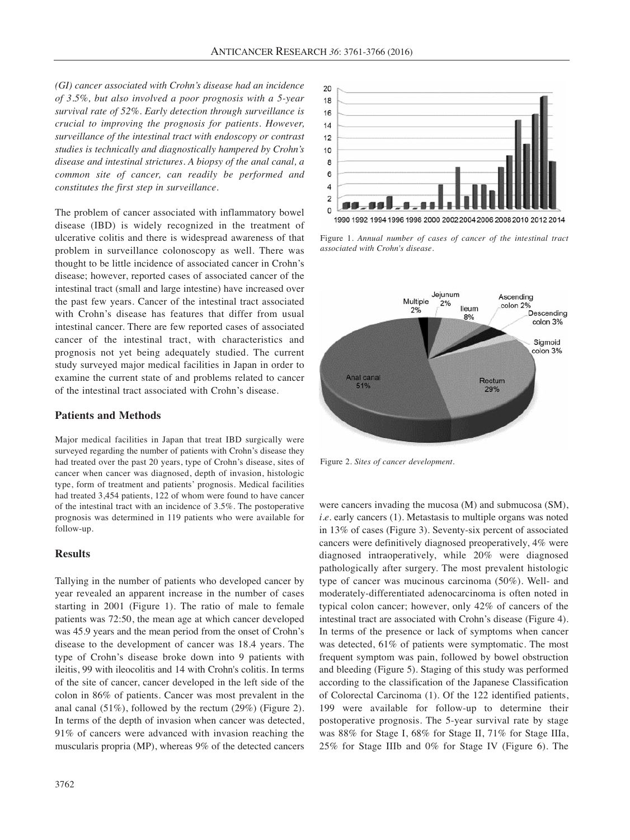*(GI) cancer associated with Crohn's disease had an incidence of 3.5%, but also involved a poor prognosis with a 5-year survival rate of 52%. Early detection through surveillance is crucial to improving the prognosis for patients. However, surveillance of the intestinal tract with endoscopy or contrast studies is technically and diagnostically hampered by Crohn's disease and intestinal strictures. A biopsy of the anal canal, a common site of cancer, can readily be performed and constitutes the first step in surveillance.*

The problem of cancer associated with inflammatory bowel disease (IBD) is widely recognized in the treatment of ulcerative colitis and there is widespread awareness of that problem in surveillance colonoscopy as well. There was thought to be little incidence of associated cancer in Crohn's disease; however, reported cases of associated cancer of the intestinal tract (small and large intestine) have increased over the past few years. Cancer of the intestinal tract associated with Crohn's disease has features that differ from usual intestinal cancer. There are few reported cases of associated cancer of the intestinal tract, with characteristics and prognosis not yet being adequately studied. The current study surveyed major medical facilities in Japan in order to examine the current state of and problems related to cancer of the intestinal tract associated with Crohn's disease.

### **Patients and Methods**

Major medical facilities in Japan that treat IBD surgically were surveyed regarding the number of patients with Crohn's disease they had treated over the past 20 years, type of Crohn's disease, sites of cancer when cancer was diagnosed, depth of invasion, histologic type, form of treatment and patients' prognosis. Medical facilities had treated 3,454 patients, 122 of whom were found to have cancer of the intestinal tract with an incidence of 3.5%. The postoperative prognosis was determined in 119 patients who were available for follow-up.

## **Results**

Tallying in the number of patients who developed cancer by year revealed an apparent increase in the number of cases starting in 2001 (Figure 1). The ratio of male to female patients was 72:50, the mean age at which cancer developed was 45.9 years and the mean period from the onset of Crohn's disease to the development of cancer was 18.4 years. The type of Crohn's disease broke down into 9 patients with ileitis, 99 with ileocolitis and 14 with Crohn's colitis. In terms of the site of cancer, cancer developed in the left side of the colon in 86% of patients. Cancer was most prevalent in the anal canal (51%), followed by the rectum (29%) (Figure 2). In terms of the depth of invasion when cancer was detected, 91% of cancers were advanced with invasion reaching the muscularis propria (MP), whereas 9% of the detected cancers



Figure 1. *Annual number of cases of cancer of the intestinal tract associated with Crohn's disease.*



Figure 2. *Sites of cancer development.*

were cancers invading the mucosa (M) and submucosa (SM), *i.e.* early cancers (1). Metastasis to multiple organs was noted in 13% of cases (Figure 3). Seventy-six percent of associated cancers were definitively diagnosed preoperatively, 4% were diagnosed intraoperatively, while 20% were diagnosed pathologically after surgery. The most prevalent histologic type of cancer was mucinous carcinoma (50%). Well- and moderately-differentiated adenocarcinoma is often noted in typical colon cancer; however, only 42% of cancers of the intestinal tract are associated with Crohn's disease (Figure 4). In terms of the presence or lack of symptoms when cancer was detected, 61% of patients were symptomatic. The most frequent symptom was pain, followed by bowel obstruction and bleeding (Figure 5). Staging of this study was performed according to the classification of the Japanese Classification of Colorectal Carcinoma (1). Of the 122 identified patients, 199 were available for follow-up to determine their postoperative prognosis. The 5-year survival rate by stage was 88% for Stage I, 68% for Stage II, 71% for Stage IIIa, 25% for Stage IIIb and 0% for Stage IV (Figure 6). The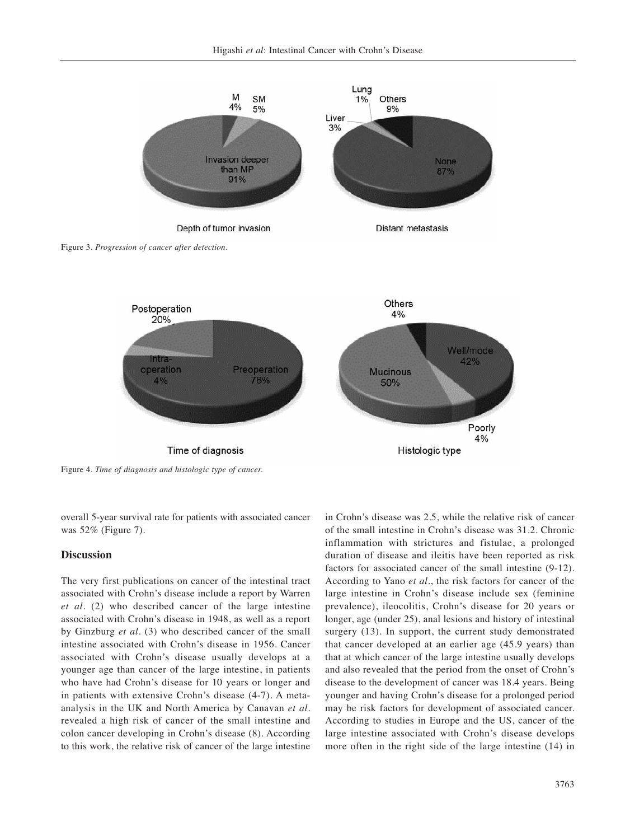



Figure 4. *Time of diagnosis and histologic type of cancer.*

overall 5-year survival rate for patients with associated cancer was 52% (Figure 7).

#### **Discussion**

The very first publications on cancer of the intestinal tract associated with Crohn's disease include a report by Warren *et al.* (2) who described cancer of the large intestine associated with Crohn's disease in 1948, as well as a report by Ginzburg *et al.* (3) who described cancer of the small intestine associated with Crohn's disease in 1956. Cancer associated with Crohn's disease usually develops at a younger age than cancer of the large intestine, in patients who have had Crohn's disease for 10 years or longer and in patients with extensive Crohn's disease (4-7). A metaanalysis in the UK and North America by Canavan *et al.* revealed a high risk of cancer of the small intestine and colon cancer developing in Crohn's disease (8). According to this work, the relative risk of cancer of the large intestine in Crohn's disease was 2.5, while the relative risk of cancer of the small intestine in Crohn's disease was 31.2. Chronic inflammation with strictures and fistulae, a prolonged duration of disease and ileitis have been reported as risk factors for associated cancer of the small intestine (9-12). According to Yano *et al.*, the risk factors for cancer of the large intestine in Crohn's disease include sex (feminine prevalence), ileocolitis, Crohn's disease for 20 years or longer, age (under 25), anal lesions and history of intestinal surgery (13). In support, the current study demonstrated that cancer developed at an earlier age (45.9 years) than that at which cancer of the large intestine usually develops and also revealed that the period from the onset of Crohn's disease to the development of cancer was 18.4 years. Being younger and having Crohn's disease for a prolonged period may be risk factors for development of associated cancer. According to studies in Europe and the US, cancer of the large intestine associated with Crohn's disease develops more often in the right side of the large intestine (14) in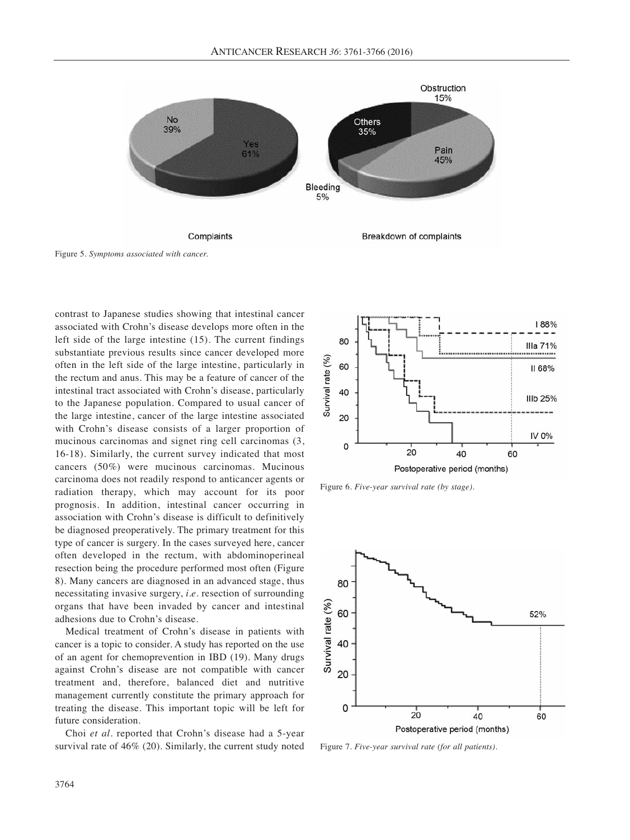

Figure 5. *Symptoms associated with cancer.*

contrast to Japanese studies showing that intestinal cancer associated with Crohn's disease develops more often in the left side of the large intestine (15). The current findings substantiate previous results since cancer developed more often in the left side of the large intestine, particularly in the rectum and anus. This may be a feature of cancer of the intestinal tract associated with Crohn's disease, particularly to the Japanese population. Compared to usual cancer of the large intestine, cancer of the large intestine associated with Crohn's disease consists of a larger proportion of mucinous carcinomas and signet ring cell carcinomas (3, 16-18). Similarly, the current survey indicated that most cancers (50%) were mucinous carcinomas. Mucinous carcinoma does not readily respond to anticancer agents or radiation therapy, which may account for its poor prognosis. In addition, intestinal cancer occurring in association with Crohn's disease is difficult to definitively be diagnosed preoperatively. The primary treatment for this type of cancer is surgery. In the cases surveyed here, cancer often developed in the rectum, with abdominoperineal resection being the procedure performed most often (Figure 8). Many cancers are diagnosed in an advanced stage, thus necessitating invasive surgery, *i.e.* resection of surrounding organs that have been invaded by cancer and intestinal adhesions due to Crohn's disease.

Medical treatment of Crohn's disease in patients with cancer is a topic to consider. A study has reported on the use of an agent for chemoprevention in IBD (19). Many drugs against Crohn's disease are not compatible with cancer treatment and, therefore, balanced diet and nutritive management currently constitute the primary approach for treating the disease. This important topic will be left for future consideration.

Choi *et al.* reported that Crohn's disease had a 5-year survival rate of 46% (20). Similarly, the current study noted



Figure 6. *Five-year survival rate (by stage).*



Figure 7. *Five-year survival rate (for all patients).*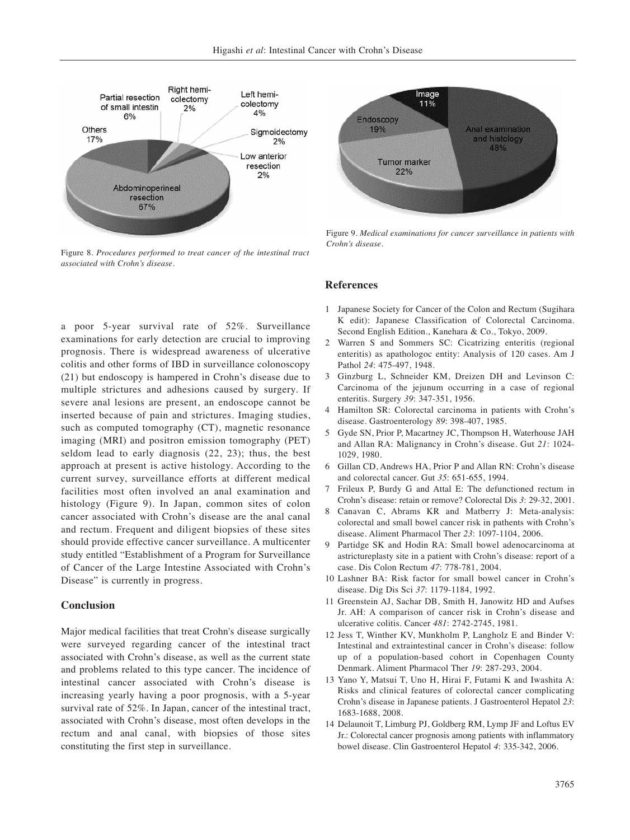

Figure 8. *Procedures performed to treat cancer of the intestinal tract associated with Crohn's disease.*

a poor 5-year survival rate of 52%. Surveillance examinations for early detection are crucial to improving prognosis. There is widespread awareness of ulcerative colitis and other forms of IBD in surveillance colonoscopy (21) but endoscopy is hampered in Crohn's disease due to multiple strictures and adhesions caused by surgery. If severe anal lesions are present, an endoscope cannot be inserted because of pain and strictures. Imaging studies, such as computed tomography (CT), magnetic resonance imaging (MRI) and positron emission tomography (PET) seldom lead to early diagnosis (22, 23); thus, the best approach at present is active histology. According to the current survey, surveillance efforts at different medical facilities most often involved an anal examination and histology (Figure 9). In Japan, common sites of colon cancer associated with Crohn's disease are the anal canal and rectum. Frequent and diligent biopsies of these sites should provide effective cancer surveillance. A multicenter study entitled "Establishment of a Program for Surveillance of Cancer of the Large Intestine Associated with Crohn's Disease" is currently in progress.

## **Conclusion**

Major medical facilities that treat Crohn's disease surgically were surveyed regarding cancer of the intestinal tract associated with Crohn's disease, as well as the current state and problems related to this type cancer. The incidence of intestinal cancer associated with Crohn's disease is increasing yearly having a poor prognosis, with a 5-year survival rate of 52%. In Japan, cancer of the intestinal tract, associated with Crohn's disease, most often develops in the rectum and anal canal, with biopsies of those sites constituting the first step in surveillance.



Figure 9. *Medical examinations for cancer surveillance in patients with Crohn's disease.*

#### **References**

- 1 Japanese Society for Cancer of the Colon and Rectum (Sugihara K edit): Japanese Classification of Colorectal Carcinoma. Second English Edition., Kanehara & Co., Tokyo, 2009.
- 2 Warren S and Sommers SC: Cicatrizing enteritis (regional enteritis) as apathologoc entity: Analysis of 120 cases. Am J Pathol *24*: 475-497, 1948.
- 3 Ginzburg L, Schneider KM, Dreizen DH and Levinson C: Carcinoma of the jejunum occurring in a case of regional enteritis. Surgery *39*: 347-351, 1956.
- 4 Hamilton SR: Colorectal carcinoma in patients with Crohn's disease. Gastroenterology *89*: 398-407, 1985.
- 5 Gyde SN, Prior P, Macartney JC, Thompson H, Waterhouse JAH and Allan RA: Malignancy in Crohn's disease. Gut *21*: 1024- 1029, 1980.
- 6 Gillan CD, Andrews HA, Prior P and Allan RN: Crohn's disease and colorectal cancer. Gut *35*: 651-655, 1994.
- 7 Frileux P, Burdy G and Attal E: The defunctioned rectum in Crohn's disease: retain or remove? Colorectal Dis *3*: 29-32, 2001.
- 8 Canavan C, Abrams KR and Matberry J: Meta-analysis: colorectal and small bowel cancer risk in pathents with Crohn's disease. Aliment Pharmacol Ther *23*: 1097-1104, 2006.
- 9 Partidge SK and Hodin RA: Small bowel adenocarcinoma at astrictureplasty site in a patient with Crohn's disease: report of a case. Dis Colon Rectum *47*: 778-781, 2004.
- 10 Lashner BA: Risk factor for small bowel cancer in Crohn's disease. Dig Dis Sci *37*: 1179-1184, 1992.
- 11 Greenstein AJ, Sachar DB, Smith H, Janowitz HD and Aufses Jr. AH: A comparison of cancer risk in Crohn's disease and ulcerative colitis. Cancer *481*: 2742-2745, 1981.
- 12 Jess T, Winther KV, Munkholm P, Langholz E and Binder V: Intestinal and extraintestinal cancer in Crohn's disease: follow up of a population-based cohort in Copenhagen County Denmark. Aliment Pharmacol Ther *19*: 287-293, 2004.
- 13 Yano Y, Matsui T, Uno H, Hirai F, Futami K and Iwashita A: Risks and clinical features of colorectal cancer complicating Crohn's disease in Japanese patients. J Gastroenterol Hepatol *23*: 1683-1688, 2008.
- 14 Delaunoit T, Limburg PJ, Goldberg RM, Lymp JF and Loftus EV Jr.: Colorectal cancer prognosis among patients with inflammatory bowel disease. Clin Gastroenterol Hepatol *4*: 335-342, 2006.